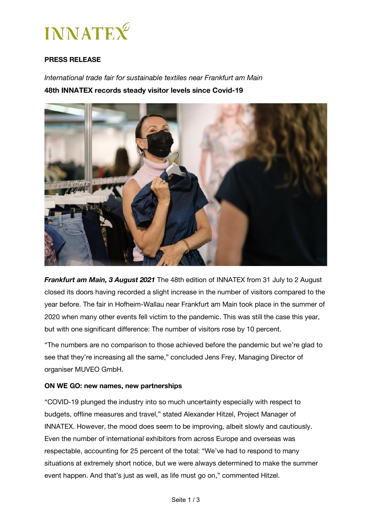

## **PRESS RELEASE**

*International trade fair for sustainable textiles near Frankfurt am Main* **48th INNATEX records steady visitor levels since Covid-19**



*Frankfurt am Main, 3 August 2021* The 48th edition of INNATEX from 31 July to 2 August closed its doors having recorded a slight increase in the number of visitors compared to the year before. The fair in Hofheim-Wallau near Frankfurt am Main took place in the summer of 2020 when many other events fell victim to the pandemic. This was still the case this year, but with one significant difference: The number of visitors rose by 10 percent.

"The numbers are no comparison to those achieved before the pandemic but we're glad to see that they're increasing all the same," concluded Jens Frey, Managing Director of organiser MUVEO GmbH.

#### **ON WE GO: new names, new partnerships**

"COVID-19 plunged the industry into so much uncertainty especially with respect to budgets, offline measures and travel," stated Alexander Hitzel, Project Manager of INNATEX. However, the mood does seem to be improving, albeit slowly and cautiously. Even the number of international exhibitors from across Europe and overseas was respectable, accounting for 25 percent of the total: "We've had to respond to many situations at extremely short notice, but we were always determined to make the summer event happen. And that's just as well, as life must go on," commented Hitzel.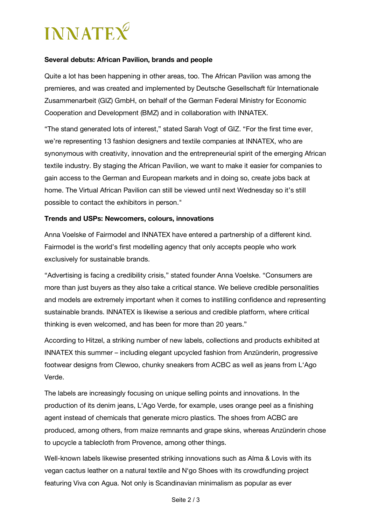# **INNATEX**

## **Several debuts: African Pavilion, brands and people**

Quite a lot has been happening in other areas, too. The African Pavilion was among the premieres, and was created and implemented by Deutsche Gesellschaft für Internationale Zusammenarbeit (GIZ) GmbH, on behalf of the German Federal Ministry for Economic Cooperation and Development (BMZ) and in collaboration with INNATEX.

"The stand generated lots of interest," stated Sarah Vogt of GIZ. "For the first time ever, we're representing 13 fashion designers and textile companies at INNATEX, who are synonymous with creativity, innovation and the entrepreneurial spirit of the emerging African textile industry. By staging the African Pavilion, we want to make it easier for companies to gain access to the German and European markets and in doing so, create jobs back at home. The Virtual African Pavilion can still be viewed until next Wednesday so it's still possible to contact the exhibitors in person."

### **Trends and USPs: Newcomers, colours, innovations**

Anna Voelske of Fairmodel and INNATEX have entered a partnership of a different kind. Fairmodel is the world's first modelling agency that only accepts people who work exclusively for sustainable brands.

"Advertising is facing a credibility crisis," stated founder Anna Voelske. "Consumers are more than just buyers as they also take a critical stance. We believe credible personalities and models are extremely important when it comes to instilling confidence and representing sustainable brands. INNATEX is likewise a serious and credible platform, where critical thinking is even welcomed, and has been for more than 20 years."

According to Hitzel, a striking number of new labels, collections and products exhibited at INNATEX this summer – including elegant upcycled fashion from Anzünderin, progressive footwear designs from Clewoo, chunky sneakers from ACBC as well as jeans from L'Ago Verde.

The labels are increasingly focusing on unique selling points and innovations. In the production of its denim jeans, L'Ago Verde, for example, uses orange peel as a finishing agent instead of chemicals that generate micro plastics. The shoes from ACBC are produced, among others, from maize remnants and grape skins, whereas Anzünderin chose to upcycle a tablecloth from Provence, among other things.

Well-known labels likewise presented striking innovations such as Alma & Lovis with its vegan cactus leather on a natural textile and N'go Shoes with its crowdfunding project featuring Viva con Agua. Not only is Scandinavian minimalism as popular as ever